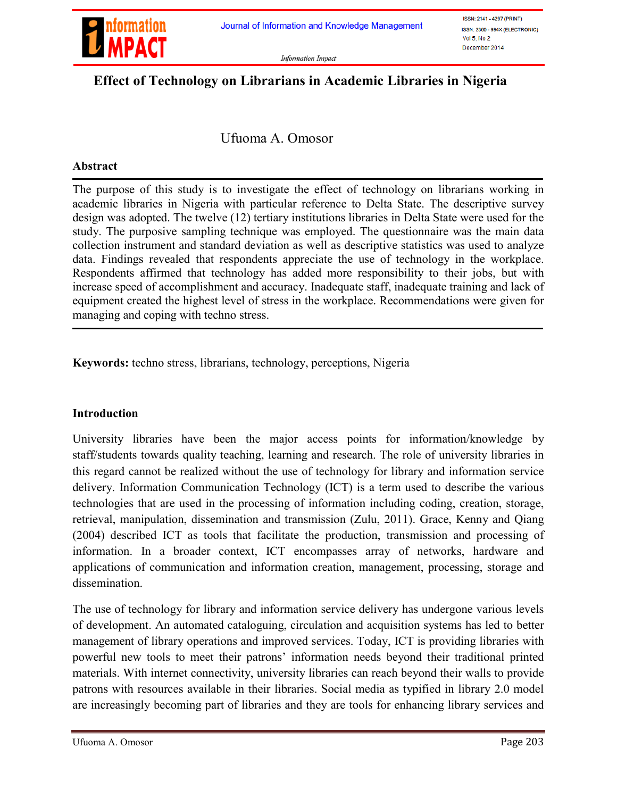

**Information Impact** 

# Effect of Technology on Librarians in Academic Libraries in Nigeria

Ufuoma A. Omosor

#### Abstract

The purpose of this study is to investigate the effect of technology on librarians working in academic libraries in Nigeria with particular reference to Delta State. The descriptive survey design was adopted. The twelve (12) tertiary institutions libraries in Delta State were used for the study. The purposive sampling technique was employed. The questionnaire was the main data collection instrument and standard deviation as well as descriptive statistics was used to analyze data. Findings revealed that respondents appreciate the use of technology in the workplace. Respondents affirmed that technology has added more responsibility to their jobs, but with increase speed of accomplishment and accuracy. Inadequate staff, inadequate training and lack of equipment created the highest level of stress in the workplace. Recommendations were given for managing and coping with techno stress.

Keywords: techno stress, librarians, technology, perceptions, Nigeria

#### Introduction

University libraries have been the major access points for information/knowledge by staff/students towards quality teaching, learning and research. The role of university libraries in this regard cannot be realized without the use of technology for library and information service delivery. Information Communication Technology (ICT) is a term used to describe the various technologies that are used in the processing of information including coding, creation, storage, retrieval, manipulation, dissemination and transmission (Zulu, 2011). Grace, Kenny and Qiang (2004) described ICT as tools that facilitate the production, transmission and processing of information. In a broader context, ICT encompasses array of networks, hardware and applications of communication and information creation, management, processing, storage and dissemination.

The use of technology for library and information service delivery has undergone various levels of development. An automated cataloguing, circulation and acquisition systems has led to better management of library operations and improved services. Today, ICT is providing libraries with powerful new tools to meet their patrons' information needs beyond their traditional printed materials. With internet connectivity, university libraries can reach beyond their walls to provide patrons with resources available in their libraries. Social media as typified in library 2.0 model are increasingly becoming part of libraries and they are tools for enhancing library services and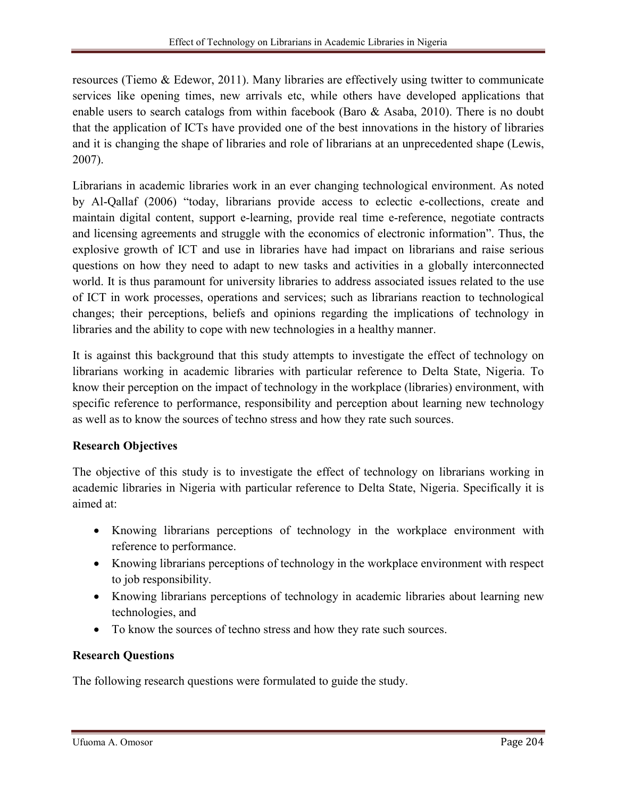resources (Tiemo & Edewor, 2011). Many libraries are effectively using twitter to communicate services like opening times, new arrivals etc, while others have developed applications that enable users to search catalogs from within facebook (Baro & Asaba, 2010). There is no doubt that the application of ICTs have provided one of the best innovations in the history of libraries and it is changing the shape of libraries and role of librarians at an unprecedented shape (Lewis, 2007).

Librarians in academic libraries work in an ever changing technological environment. As noted by Al-Qallaf (2006) "today, librarians provide access to eclectic e-collections, create and maintain digital content, support e-learning, provide real time e-reference, negotiate contracts and licensing agreements and struggle with the economics of electronic information". Thus, the explosive growth of ICT and use in libraries have had impact on librarians and raise serious questions on how they need to adapt to new tasks and activities in a globally interconnected world. It is thus paramount for university libraries to address associated issues related to the use of ICT in work processes, operations and services; such as librarians reaction to technological changes; their perceptions, beliefs and opinions regarding the implications of technology in libraries and the ability to cope with new technologies in a healthy manner.

It is against this background that this study attempts to investigate the effect of technology on librarians working in academic libraries with particular reference to Delta State, Nigeria. To know their perception on the impact of technology in the workplace (libraries) environment, with specific reference to performance, responsibility and perception about learning new technology as well as to know the sources of techno stress and how they rate such sources.

# Research Objectives

The objective of this study is to investigate the effect of technology on librarians working in academic libraries in Nigeria with particular reference to Delta State, Nigeria. Specifically it is aimed at:

- Knowing librarians perceptions of technology in the workplace environment with reference to performance.
- Knowing librarians perceptions of technology in the workplace environment with respect to job responsibility.
- Knowing librarians perceptions of technology in academic libraries about learning new technologies, and
- To know the sources of techno stress and how they rate such sources.

# Research Questions

The following research questions were formulated to guide the study.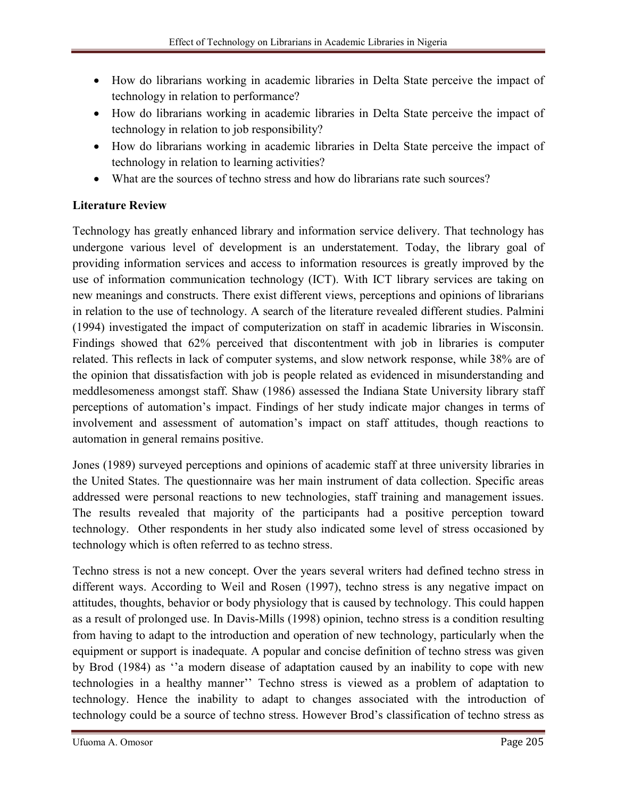- How do librarians working in academic libraries in Delta State perceive the impact of technology in relation to performance?
- How do librarians working in academic libraries in Delta State perceive the impact of technology in relation to job responsibility?
- How do librarians working in academic libraries in Delta State perceive the impact of technology in relation to learning activities?
- What are the sources of techno stress and how do librarians rate such sources?

# Literature Review

Technology has greatly enhanced library and information service delivery. That technology has undergone various level of development is an understatement. Today, the library goal of providing information services and access to information resources is greatly improved by the use of information communication technology (ICT). With ICT library services are taking on new meanings and constructs. There exist different views, perceptions and opinions of librarians in relation to the use of technology. A search of the literature revealed different studies. Palmini (1994) investigated the impact of computerization on staff in academic libraries in Wisconsin. Findings showed that 62% perceived that discontentment with job in libraries is computer related. This reflects in lack of computer systems, and slow network response, while 38% are of the opinion that dissatisfaction with job is people related as evidenced in misunderstanding and meddlesomeness amongst staff. Shaw (1986) assessed the Indiana State University library staff perceptions of automation's impact. Findings of her study indicate major changes in terms of involvement and assessment of automation's impact on staff attitudes, though reactions to automation in general remains positive.

Jones (1989) surveyed perceptions and opinions of academic staff at three university libraries in the United States. The questionnaire was her main instrument of data collection. Specific areas addressed were personal reactions to new technologies, staff training and management issues. The results revealed that majority of the participants had a positive perception toward technology. Other respondents in her study also indicated some level of stress occasioned by technology which is often referred to as techno stress.

Techno stress is not a new concept. Over the years several writers had defined techno stress in different ways. According to Weil and Rosen (1997), techno stress is any negative impact on attitudes, thoughts, behavior or body physiology that is caused by technology. This could happen as a result of prolonged use. In Davis-Mills (1998) opinion, techno stress is a condition resulting from having to adapt to the introduction and operation of new technology, particularly when the equipment or support is inadequate. A popular and concise definition of techno stress was given by Brod (1984) as ''a modern disease of adaptation caused by an inability to cope with new technologies in a healthy manner'' Techno stress is viewed as a problem of adaptation to technology. Hence the inability to adapt to changes associated with the introduction of technology could be a source of techno stress. However Brod's classification of techno stress as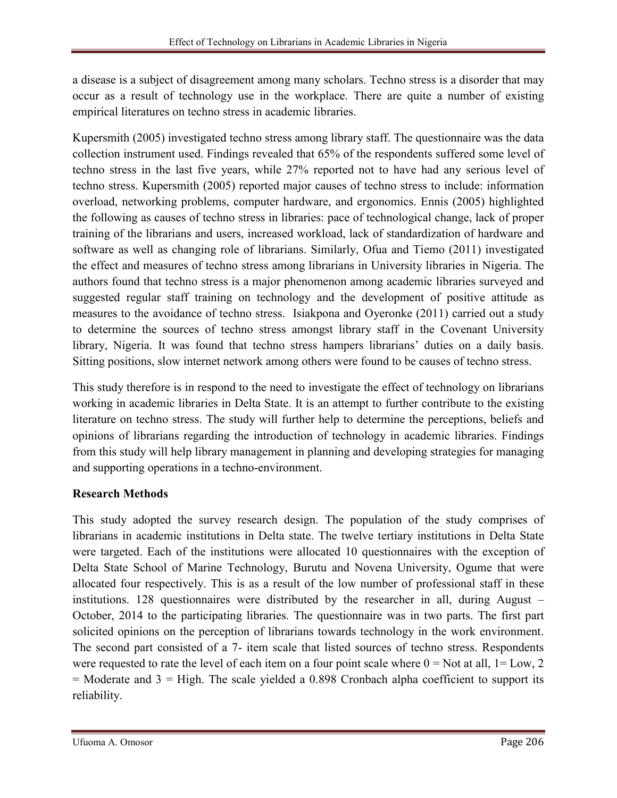a disease is a subject of disagreement among many scholars. Techno stress is a disorder that may occur as a result of technology use in the workplace. There are quite a number of existing empirical literatures on techno stress in academic libraries.

Kupersmith (2005) investigated techno stress among library staff. The questionnaire was the data collection instrument used. Findings revealed that 65% of the respondents suffered some level of techno stress in the last five years, while 27% reported not to have had any serious level of techno stress. Kupersmith (2005) reported major causes of techno stress to include: information overload, networking problems, computer hardware, and ergonomics. Ennis (2005) highlighted the following as causes of techno stress in libraries: pace of technological change, lack of proper training of the librarians and users, increased workload, lack of standardization of hardware and software as well as changing role of librarians. Similarly, Ofua and Tiemo (2011) investigated the effect and measures of techno stress among librarians in University libraries in Nigeria. The authors found that techno stress is a major phenomenon among academic libraries surveyed and suggested regular staff training on technology and the development of positive attitude as measures to the avoidance of techno stress. Isiakpona and Oyeronke (2011) carried out a study to determine the sources of techno stress amongst library staff in the Covenant University library, Nigeria. It was found that techno stress hampers librarians' duties on a daily basis. Sitting positions, slow internet network among others were found to be causes of techno stress.

This study therefore is in respond to the need to investigate the effect of technology on librarians working in academic libraries in Delta State. It is an attempt to further contribute to the existing literature on techno stress. The study will further help to determine the perceptions, beliefs and opinions of librarians regarding the introduction of technology in academic libraries. Findings from this study will help library management in planning and developing strategies for managing and supporting operations in a techno-environment.

# Research Methods

This study adopted the survey research design. The population of the study comprises of librarians in academic institutions in Delta state. The twelve tertiary institutions in Delta State were targeted. Each of the institutions were allocated 10 questionnaires with the exception of Delta State School of Marine Technology, Burutu and Novena University, Ogume that were allocated four respectively. This is as a result of the low number of professional staff in these institutions. 128 questionnaires were distributed by the researcher in all, during August – October, 2014 to the participating libraries. The questionnaire was in two parts. The first part solicited opinions on the perception of librarians towards technology in the work environment. The second part consisted of a 7- item scale that listed sources of techno stress. Respondents were requested to rate the level of each item on a four point scale where  $0 = Not$  at all,  $1 = Low, 2$  $=$  Moderate and 3  $=$  High. The scale yielded a 0.898 Cronbach alpha coefficient to support its reliability.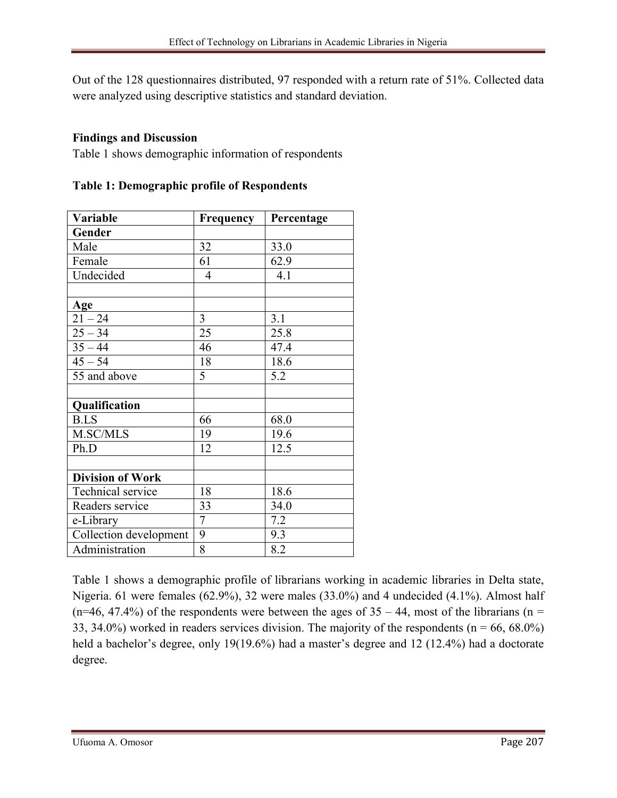Out of the 128 questionnaires distributed, 97 responded with a return rate of 51%. Collected data were analyzed using descriptive statistics and standard deviation.

# Findings and Discussion

Table 1 shows demographic information of respondents

| Variable                | <b>Frequency</b> | Percentage |  |
|-------------------------|------------------|------------|--|
| Gender                  |                  |            |  |
| Male                    | 32               | 33.0       |  |
| Female                  | 61               | 62.9       |  |
| Undecided               | 4                | 4.1        |  |
|                         |                  |            |  |
| Age                     |                  |            |  |
| $21 - 24$               | 3                | 3.1        |  |
| $25 - 34$               | 25               | 25.8       |  |
| $35 - 44$               | 46               | 47.4       |  |
| $45 - 54$               | 18               | 18.6       |  |
| 55 and above            | 5                | 5.2        |  |
|                         |                  |            |  |
| Qualification           |                  |            |  |
| <b>B.LS</b>             | 66               | 68.0       |  |
| M.SC/MLS                | 19               | 19.6       |  |
| Ph.D                    | 12               | 12.5       |  |
|                         |                  |            |  |
| <b>Division of Work</b> |                  |            |  |
| Technical service       | 18               | 18.6       |  |
| Readers service         | 33               | 34.0       |  |
| e-Library               | 7                | 7.2        |  |
| Collection development  | 9                | 9.3        |  |
| Administration          | 8                | 8.2        |  |

Table 1: Demographic profile of Respondents

Table 1 shows a demographic profile of librarians working in academic libraries in Delta state, Nigeria. 61 were females (62.9%), 32 were males (33.0%) and 4 undecided (4.1%). Almost half  $(n=46, 47.4%)$  of the respondents were between the ages of  $35 - 44$ , most of the librarians (n = 33, 34.0%) worked in readers services division. The majority of the respondents ( $n = 66, 68.0\%$ ) held a bachelor's degree, only 19(19.6%) had a master's degree and 12 (12.4%) had a doctorate degree.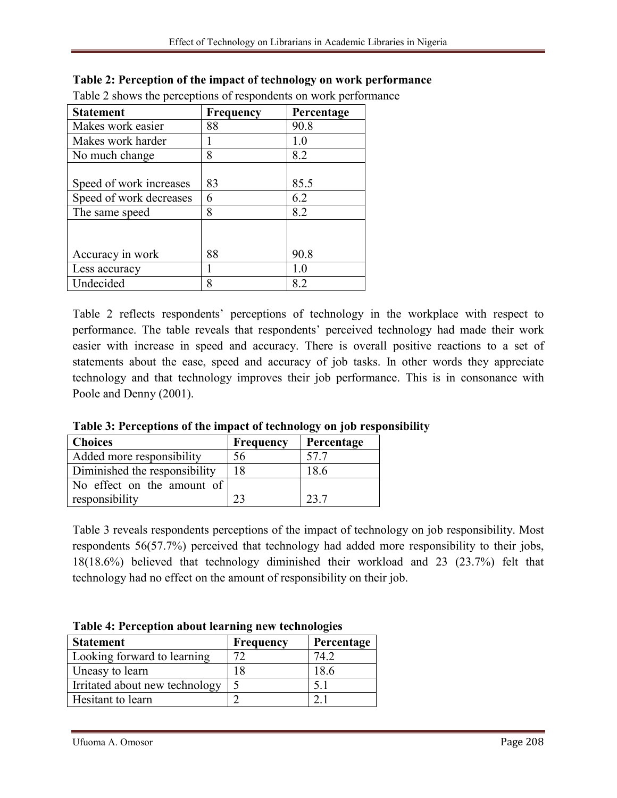| <b>Statement</b>        | <b>Frequency</b> | Percentage |
|-------------------------|------------------|------------|
| Makes work easier       | 88               | 90.8       |
| Makes work harder       |                  | 1.0        |
| No much change          | 8                | 8.2        |
|                         |                  |            |
| Speed of work increases | 83               | 85.5       |
| Speed of work decreases | 6                | 6.2        |
| The same speed          | 8                | 8.2        |
|                         |                  |            |
|                         |                  |            |
| Accuracy in work        | 88               | 90.8       |
| Less accuracy           |                  | 1.0        |
| Undecided               | 8                | 8.2        |

### Table 2: Perception of the impact of technology on work performance

Table 2 shows the perceptions of respondents on work performance

Table 2 reflects respondents' perceptions of technology in the workplace with respect to performance. The table reveals that respondents' perceived technology had made their work easier with increase in speed and accuracy. There is overall positive reactions to a set of statements about the ease, speed and accuracy of job tasks. In other words they appreciate technology and that technology improves their job performance. This is in consonance with Poole and Denny (2001).

| <b>Choices</b>                | <b>Frequency</b> | Percentage |  |
|-------------------------------|------------------|------------|--|
| Added more responsibility     | 56               | 57.7       |  |
| Diminished the responsibility | 18               | 18.6       |  |
| No effect on the amount of    |                  |            |  |
| responsibility                |                  | 23 T       |  |

Table 3: Perceptions of the impact of technology on job responsibility

Table 3 reveals respondents perceptions of the impact of technology on job responsibility. Most respondents 56(57.7%) perceived that technology had added more responsibility to their jobs, 18(18.6%) believed that technology diminished their workload and 23 (23.7%) felt that technology had no effect on the amount of responsibility on their job.

| Twore is I electrical about fear ming new technologies |                  |            |  |
|--------------------------------------------------------|------------------|------------|--|
| <b>Statement</b>                                       | <b>Frequency</b> | Percentage |  |
| Looking forward to learning                            | 72               | 74.2       |  |
| Uneasy to learn                                        | 18               | 18.6       |  |
| Irritated about new technology                         |                  | 5.1        |  |
| Hesitant to learn                                      | $\sim$           |            |  |

Table 4: Perception about learning new technologies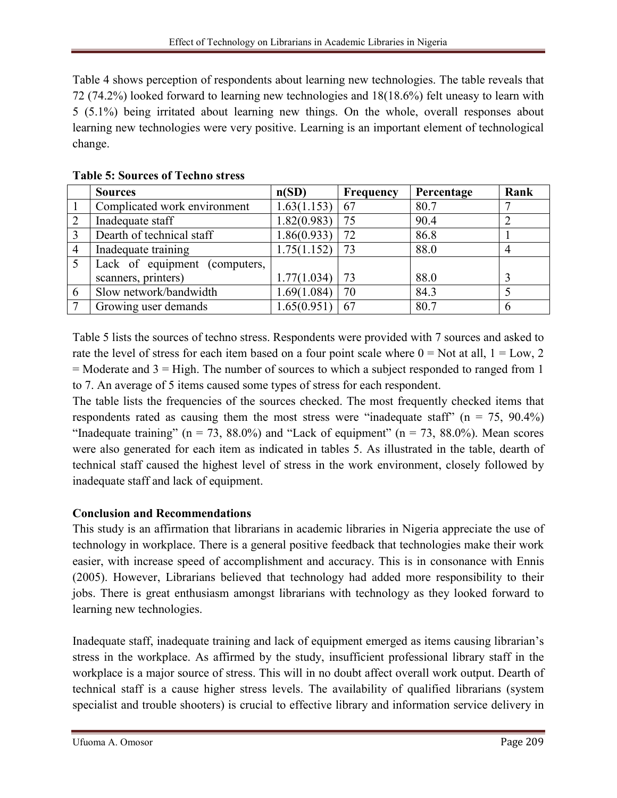Table 4 shows perception of respondents about learning new technologies. The table reveals that 72 (74.2%) looked forward to learning new technologies and 18(18.6%) felt uneasy to learn with 5 (5.1%) being irritated about learning new things. On the whole, overall responses about learning new technologies were very positive. Learning is an important element of technological change.

|                | <b>Sources</b>                | n(SD)            | Frequency | Percentage | Rank |
|----------------|-------------------------------|------------------|-----------|------------|------|
|                | Complicated work environment  | 1.63(1.153)      | 67        | 80.7       |      |
| 2              | Inadequate staff              | 1.82(0.983)      | 75        | 90.4       | ി    |
|                | Dearth of technical staff     | 1.86(0.933)      | 72        | 86.8       |      |
| $\overline{4}$ | Inadequate training           | 1.75(1.152)      | 73        | 88.0       |      |
|                | Lack of equipment (computers, |                  |           |            |      |
|                | scanners, printers)           | 1.77(1.034)      | 73        | 88.0       |      |
| 6              | Slow network/bandwidth        | 1.69(1.084)      | 70        | 84.3       |      |
|                | Growing user demands          | $1.65(0.951)$ 67 |           | 80.7       |      |

# Table 5: Sources of Techno stress

Table 5 lists the sources of techno stress. Respondents were provided with 7 sources and asked to rate the level of stress for each item based on a four point scale where  $0 = Not$  at all,  $1 = Low, 2$  $=$  Moderate and  $3 =$  High. The number of sources to which a subject responded to ranged from 1 to 7. An average of 5 items caused some types of stress for each respondent.

The table lists the frequencies of the sources checked. The most frequently checked items that respondents rated as causing them the most stress were "inadequate staff" ( $n = 75$ ,  $90.4\%$ ) "Inadequate training" ( $n = 73$ , 88.0%) and "Lack of equipment" ( $n = 73$ , 88.0%). Mean scores were also generated for each item as indicated in tables 5. As illustrated in the table, dearth of technical staff caused the highest level of stress in the work environment, closely followed by inadequate staff and lack of equipment.

# Conclusion and Recommendations

This study is an affirmation that librarians in academic libraries in Nigeria appreciate the use of technology in workplace. There is a general positive feedback that technologies make their work easier, with increase speed of accomplishment and accuracy. This is in consonance with Ennis (2005). However, Librarians believed that technology had added more responsibility to their jobs. There is great enthusiasm amongst librarians with technology as they looked forward to learning new technologies.

Inadequate staff, inadequate training and lack of equipment emerged as items causing librarian's stress in the workplace. As affirmed by the study, insufficient professional library staff in the workplace is a major source of stress. This will in no doubt affect overall work output. Dearth of technical staff is a cause higher stress levels. The availability of qualified librarians (system specialist and trouble shooters) is crucial to effective library and information service delivery in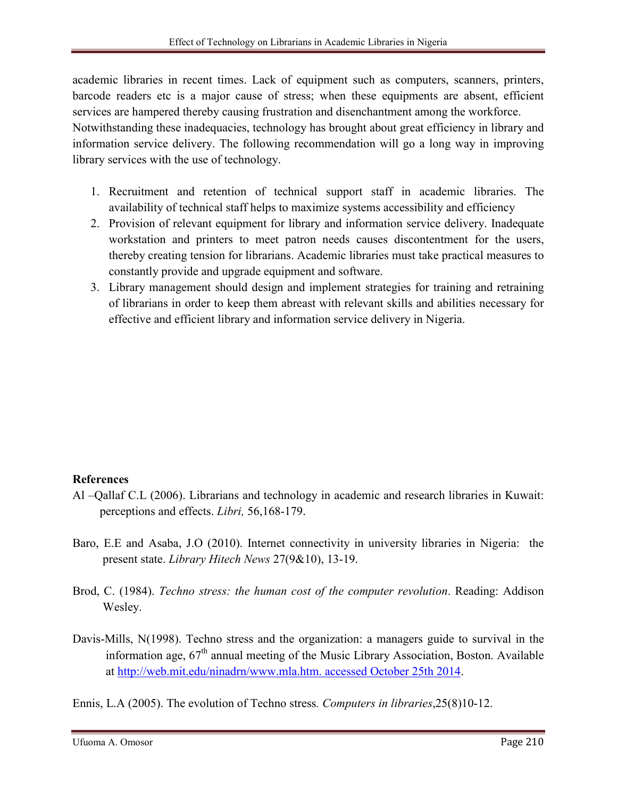academic libraries in recent times. Lack of equipment such as computers, scanners, printers, barcode readers etc is a major cause of stress; when these equipments are absent, efficient services are hampered thereby causing frustration and disenchantment among the workforce. Notwithstanding these inadequacies, technology has brought about great efficiency in library and information service delivery. The following recommendation will go a long way in improving library services with the use of technology.

- 1. Recruitment and retention of technical support staff in academic libraries. The availability of technical staff helps to maximize systems accessibility and efficiency
- 2. Provision of relevant equipment for library and information service delivery. Inadequate workstation and printers to meet patron needs causes discontentment for the users, thereby creating tension for librarians. Academic libraries must take practical measures to constantly provide and upgrade equipment and software.
- 3. Library management should design and implement strategies for training and retraining of librarians in order to keep them abreast with relevant skills and abilities necessary for effective and efficient library and information service delivery in Nigeria.

#### References

- Al –Qallaf C.L (2006). Librarians and technology in academic and research libraries in Kuwait: perceptions and effects. *Libri,* 56,168-179.
- Baro, E.E and Asaba, J.O (2010). Internet connectivity in university libraries in Nigeria: the present state. *Library Hitech News* 27(9&10), 13-19.
- Brod, C. (1984). *Techno stress: the human cost of the computer revolution*. Reading: Addison Wesley.
- Davis-Mills, N(1998). Techno stress and the organization: a managers guide to survival in the information age,  $67<sup>th</sup>$  annual meeting of the Music Library Association, Boston. Available at http://web.mit.edu/ninadrn/www.mla.htm. accessed October 25th 2014.

Ennis, L[.A \(2005\). The evolution of Techno stress](http://web.mit.edu/ninadrn/www.mla.htm. accessed October 25th 2014)*. Computers in libraries*,25(8)10-12.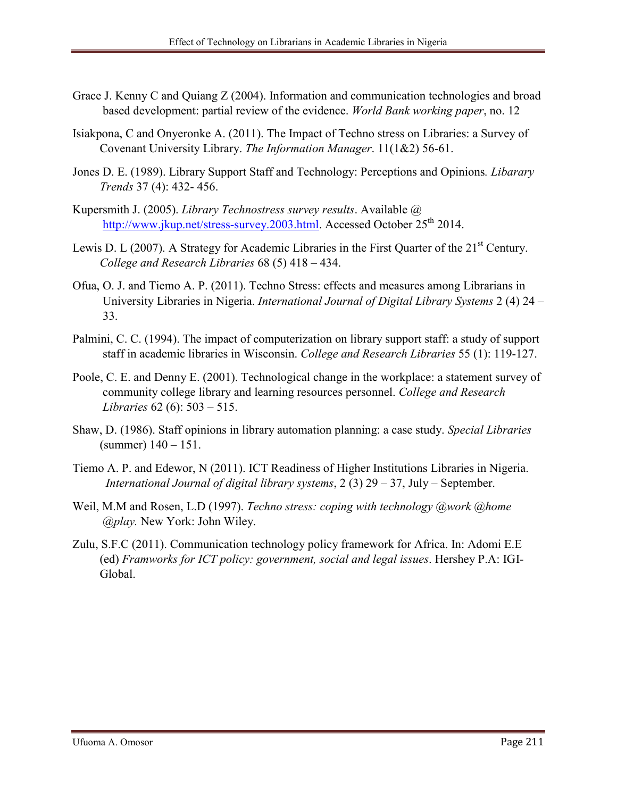- Grace J. Kenny C and Quiang Z (2004). Information and communication technologies and broad based development: partial review of the evidence. *World Bank working paper*, no. 12
- Isiakpona, C and Onyeronke A. (2011). The Impact of Techno stress on Libraries: a Survey of Covenant University Library. *The Information Manager*. 11(1&2) 56-61.
- Jones D. E. (1989). Library Support Staff and Technology: Perceptions and Opinions*. Libarary Trends* 37 (4): 432- 456.
- Kupersmith J. (2005). *Library Technostress survey results*. Available @ http://www.jkup.net/stress-survey.2003.html. Accessed October 25<sup>th</sup> 2014.
- Lewis D. L (2007). A Strategy for Academic Libraries in the First Quarter of the  $21<sup>st</sup>$  Century. *[College and Research Libraries](http://www.jkup.net/stress-survey.2003.html)* 68 (5) 418 – 434.
- Ofua, O. J. and Tiemo A. P. (2011). Techno Stress: effects and measures among Librarians in University Libraries in Nigeria. *International Journal of Digital Library Systems* 2 (4) 24 – 33.
- Palmini, C. C. (1994). The impact of computerization on library support staff: a study of support staff in academic libraries in Wisconsin. *College and Research Libraries* 55 (1): 119-127.
- Poole, C. E. and Denny E. (2001). Technological change in the workplace: a statement survey of community college library and learning resources personnel. *College and Research Libraries* 62 (6): 503 – 515.
- Shaw, D. (1986). Staff opinions in library automation planning: a case study. *Special Libraries* (summer) 140 – 151.
- Tiemo A. P. and Edewor, N (2011). ICT Readiness of Higher Institutions Libraries in Nigeria. *International Journal of digital library systems*, 2 (3) 29 – 37, July – September.
- Weil, M.M and Rosen, L.D (1997). *Techno stress: coping with technology @work @home @play.* New York: John Wiley.
- Zulu, S.F.C (2011). Communication technology policy framework for Africa. In: Adomi E.E (ed) *Framworks for ICT policy: government, social and legal issues*. Hershey P.A: IGI- Global.